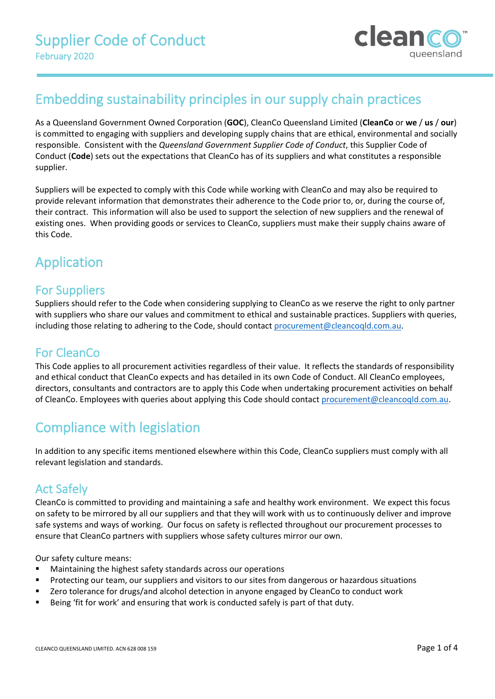

# Embedding sustainability principles in our supply chain practices

As a Queensland Government Owned Corporation (**GOC**), CleanCo Queensland Limited (**CleanCo** or **we** / **us** / **our**) is committed to engaging with suppliers and developing supply chains that are ethical, environmental and socially responsible. Consistent with the *Queensland Government Supplier Code of Conduct*, this Supplier Code of Conduct (**Code**) sets out the expectations that CleanCo has of its suppliers and what constitutes a responsible supplier.

Suppliers will be expected to comply with this Code while working with CleanCo and may also be required to provide relevant information that demonstrates their adherence to the Code prior to, or, during the course of, their contract. This information will also be used to support the selection of new suppliers and the renewal of existing ones. When providing goods or services to CleanCo, suppliers must make their supply chains aware of this Code.

# Application

### For Suppliers

Suppliers should refer to the Code when considering supplying to CleanCo as we reserve the right to only partner with suppliers who share our values and commitment to ethical and sustainable practices. Suppliers with queries, including those relating to adhering to the Code, should contact [procurement@cleancoqld.com.au.](mailto:procurement@cleancoqld.com.au)

### For CleanCo

This Code applies to all procurement activities regardless of their value. It reflects the standards of responsibility and ethical conduct that CleanCo expects and has detailed in its own Code of Conduct. All CleanCo employees, directors, consultants and contractors are to apply this Code when undertaking procurement activities on behalf of CleanCo. Employees with queries about applying this Code should contac[t procurement@cleancoqld.com.au.](mailto:procurement@cleancoqld.com.au)

# Compliance with legislation

In addition to any specific items mentioned elsewhere within this Code, CleanCo suppliers must comply with all relevant legislation and standards.

### Act Safely

CleanCo is committed to providing and maintaining a safe and healthy work environment. We expect this focus on safety to be mirrored by all our suppliers and that they will work with us to continuously deliver and improve safe systems and ways of working. Our focus on safety is reflected throughout our procurement processes to ensure that CleanCo partners with suppliers whose safety cultures mirror our own.

Our safety culture means:

- Maintaining the highest safety standards across our operations
- **Protecting our team, our suppliers and visitors to our sites from dangerous or hazardous situations**
- **EXECT** 2ero tolerance for drugs/and alcohol detection in anyone engaged by CleanCo to conduct work
- Being 'fit for work' and ensuring that work is conducted safely is part of that duty.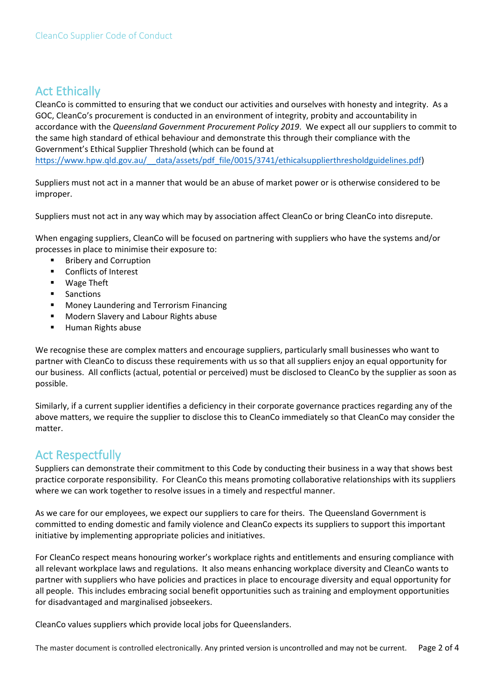### Act Ethically

CleanCo is committed to ensuring that we conduct our activities and ourselves with honesty and integrity. As a GOC, CleanCo's procurement is conducted in an environment of integrity, probity and accountability in accordance with the *Queensland Government Procurement Policy 2019*. We expect all our suppliers to commit to the same high standard of ethical behaviour and demonstrate this through their compliance with the Government's Ethical Supplier Threshold (which can be found at [https://www.hpw.qld.gov.au/\\_\\_data/assets/pdf\\_file/0015/3741/ethicalsupplierthresholdguidelines.pdf\)](https://www.hpw.qld.gov.au/__data/assets/pdf_file/0015/3741/ethicalsupplierthresholdguidelines.pdf)

Suppliers must not act in a manner that would be an abuse of market power or is otherwise considered to be improper.

Suppliers must not act in any way which may by association affect CleanCo or bring CleanCo into disrepute.

When engaging suppliers, CleanCo will be focused on partnering with suppliers who have the systems and/or processes in place to minimise their exposure to:

- **Bribery and Corruption**
- Conflicts of Interest
- Wage Theft
- Sanctions
- **■** Money Laundering and Terrorism Financing
- **Modern Slavery and Labour Rights abuse**
- **Human Rights abuse**

We recognise these are complex matters and encourage suppliers, particularly small businesses who want to partner with CleanCo to discuss these requirements with us so that all suppliers enjoy an equal opportunity for our business. All conflicts (actual, potential or perceived) must be disclosed to CleanCo by the supplier as soon as possible.

Similarly, if a current supplier identifies a deficiency in their corporate governance practices regarding any of the above matters, we require the supplier to disclose this to CleanCo immediately so that CleanCo may consider the matter.

### Act Respectfully

Suppliers can demonstrate their commitment to this Code by conducting their business in a way that shows best practice corporate responsibility. For CleanCo this means promoting collaborative relationships with its suppliers where we can work together to resolve issues in a timely and respectful manner.

As we care for our employees, we expect our suppliers to care for theirs. The Queensland Government is committed to ending domestic and family violence and CleanCo expects its suppliers to support this important initiative by implementing appropriate policies and initiatives.

For CleanCo respect means honouring worker's workplace rights and entitlements and ensuring compliance with all relevant workplace laws and regulations. It also means enhancing workplace diversity and CleanCo wants to partner with suppliers who have policies and practices in place to encourage diversity and equal opportunity for all people. This includes embracing social benefit opportunities such as training and employment opportunities for disadvantaged and marginalised jobseekers.

CleanCo values suppliers which provide local jobs for Queenslanders.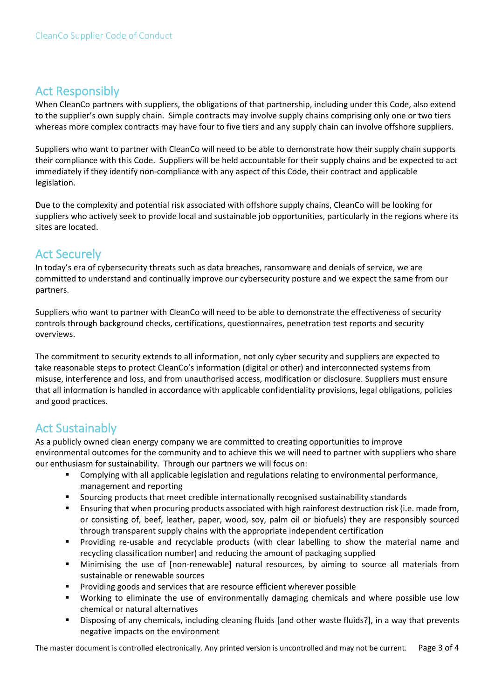### Act Responsibly

When CleanCo partners with suppliers, the obligations of that partnership, including under this Code, also extend to the supplier's own supply chain. Simple contracts may involve supply chains comprising only one or two tiers whereas more complex contracts may have four to five tiers and any supply chain can involve offshore suppliers.

Suppliers who want to partner with CleanCo will need to be able to demonstrate how their supply chain supports their compliance with this Code. Suppliers will be held accountable for their supply chains and be expected to act immediately if they identify non-compliance with any aspect of this Code, their contract and applicable legislation.

Due to the complexity and potential risk associated with offshore supply chains, CleanCo will be looking for suppliers who actively seek to provide local and sustainable job opportunities, particularly in the regions where its sites are located.

## Act Securely

In today's era of cybersecurity threats such as data breaches, ransomware and denials of service, we are committed to understand and continually improve our cybersecurity posture and we expect the same from our partners.

Suppliers who want to partner with CleanCo will need to be able to demonstrate the effectiveness of security controls through background checks, certifications, questionnaires, penetration test reports and security overviews.

The commitment to security extends to all information, not only cyber security and suppliers are expected to take reasonable steps to protect CleanCo's information (digital or other) and interconnected systems from misuse, interference and loss, and from unauthorised access, modification or disclosure. Suppliers must ensure that all information is handled in accordance with applicable confidentiality provisions, legal obligations, policies and good practices.

# Act Sustainably

As a publicly owned clean energy company we are committed to creating opportunities to improve environmental outcomes for the community and to achieve this we will need to partner with suppliers who share our enthusiasm for sustainability. Through our partners we will focus on:

- Complying with all applicable legislation and regulations relating to environmental performance, management and reporting
- Sourcing products that meet credible internationally recognised sustainability standards
- Ensuring that when procuring products associated with high rainforest destruction risk (i.e. made from, or consisting of, beef, leather, paper, wood, soy, palm oil or biofuels) they are responsibly sourced through transparent supply chains with the appropriate independent certification
- Providing re-usable and recyclable products (with clear labelling to show the material name and recycling classification number) and reducing the amount of packaging supplied
- Minimising the use of [non-renewable] natural resources, by aiming to source all materials from sustainable or renewable sources
- Providing goods and services that are resource efficient wherever possible
- Working to eliminate the use of environmentally damaging chemicals and where possible use low chemical or natural alternatives
- Disposing of any chemicals, including cleaning fluids [and other waste fluids?], in a way that prevents negative impacts on the environment

The master document is controlled electronically. Any printed version is uncontrolled and may not be current. Page 3 of 4